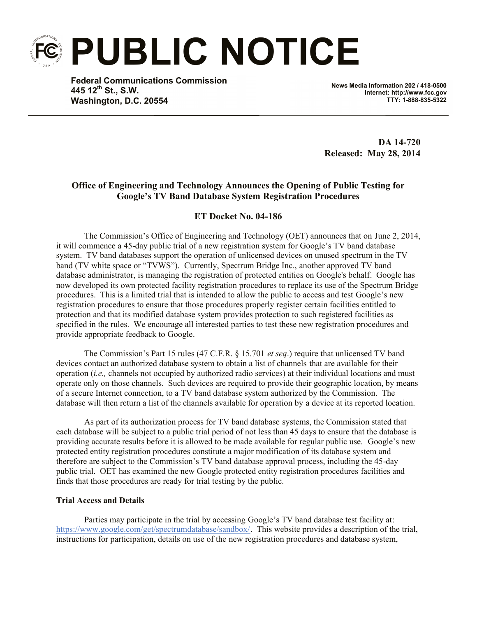**PUBLIC NOTICE**

**Federal Communications Commission 445 12th St., S.W. Washington, D.C. 20554**

**News Media Information 202 / 418-0500 Internet: http://www.fcc.gov TTY: 1-888-835-5322**

**DA 14-720 Released: May 28, 2014**

## **Office of Engineering and Technology Announces the Opening of Public Testing for Google's TV Band Database System Registration Procedures**

## **ET Docket No. 04-186**

The Commission's Office of Engineering and Technology (OET) announces that on June 2, 2014, it will commence a 45-day public trial of a new registration system for Google's TV band database system. TV band databases support the operation of unlicensed devices on unused spectrum in the TV band (TV white space or "TVWS"). Currently, Spectrum Bridge Inc., another approved TV band database administrator, is managing the registration of protected entities on Google's behalf. Google has now developed its own protected facility registration procedures to replace its use of the Spectrum Bridge procedures. This is a limited trial that is intended to allow the public to access and test Google's new registration procedures to ensure that those procedures properly register certain facilities entitled to protection and that its modified database system provides protection to such registered facilities as specified in the rules. We encourage all interested parties to test these new registration procedures and provide appropriate feedback to Google.

The Commission's Part 15 rules (47 C.F.R. § 15.701 *et seq*.) require that unlicensed TV band devices contact an authorized database system to obtain a list of channels that are available for their operation (*i.e.,* channels not occupied by authorized radio services) at their individual locations and must operate only on those channels. Such devices are required to provide their geographic location, by means of a secure Internet connection, to a TV band database system authorized by the Commission. The database will then return a list of the channels available for operation by a device at its reported location.

As part of its authorization process for TV band database systems, the Commission stated that each database will be subject to a public trial period of not less than 45 days to ensure that the database is providing accurate results before it is allowed to be made available for regular public use. Google's new protected entity registration procedures constitute a major modification of its database system and therefore are subject to the Commission's TV band database approval process, including the 45-day public trial. OET has examined the new Google protected entity registration procedures facilities and finds that those procedures are ready for trial testing by the public.

## **Trial Access and Details**

Parties may participate in the trial by accessing Google's TV band database test facility at: https://www.google.com/get/spectrumdatabase/sandbox/. This website provides a description of the trial, instructions for participation, details on use of the new registration procedures and database system,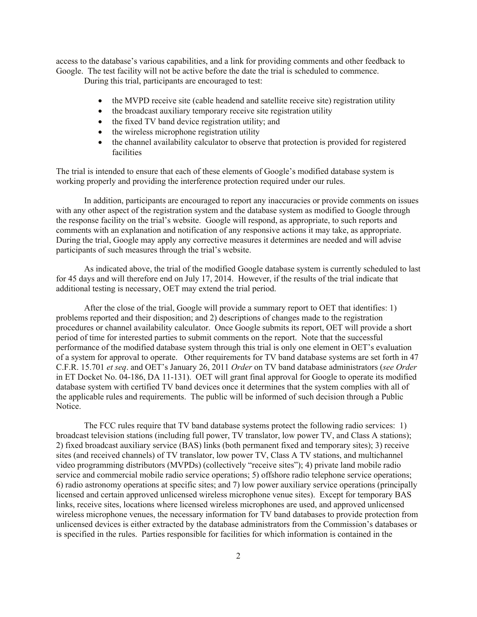access to the database's various capabilities, and a link for providing comments and other feedback to Google. The test facility will not be active before the date the trial is scheduled to commence.

During this trial, participants are encouraged to test:

- the MVPD receive site (cable headend and satellite receive site) registration utility
- the broadcast auxiliary temporary receive site registration utility
- the fixed TV band device registration utility; and
- the wireless microphone registration utility
- the channel availability calculator to observe that protection is provided for registered facilities

The trial is intended to ensure that each of these elements of Google's modified database system is working properly and providing the interference protection required under our rules.

In addition, participants are encouraged to report any inaccuracies or provide comments on issues with any other aspect of the registration system and the database system as modified to Google through the response facility on the trial's website. Google will respond, as appropriate, to such reports and comments with an explanation and notification of any responsive actions it may take, as appropriate. During the trial, Google may apply any corrective measures it determines are needed and will advise participants of such measures through the trial's website.

As indicated above, the trial of the modified Google database system is currently scheduled to last for 45 days and will therefore end on July 17, 2014. However, if the results of the trial indicate that additional testing is necessary, OET may extend the trial period.

After the close of the trial, Google will provide a summary report to OET that identifies: 1) problems reported and their disposition; and 2) descriptions of changes made to the registration procedures or channel availability calculator. Once Google submits its report, OET will provide a short period of time for interested parties to submit comments on the report. Note that the successful performance of the modified database system through this trial is only one element in OET's evaluation of a system for approval to operate. Other requirements for TV band database systems are set forth in 47 C.F.R. 15.701 *et seq*. and OET's January 26, 2011 *Order* on TV band database administrators (*see Order* in ET Docket No. 04-186, DA 11-131). OET will grant final approval for Google to operate its modified database system with certified TV band devices once it determines that the system complies with all of the applicable rules and requirements. The public will be informed of such decision through a Public Notice.

The FCC rules require that TV band database systems protect the following radio services: 1) broadcast television stations (including full power, TV translator, low power TV, and Class A stations); 2) fixed broadcast auxiliary service (BAS) links (both permanent fixed and temporary sites); 3) receive sites (and received channels) of TV translator, low power TV, Class A TV stations, and multichannel video programming distributors (MVPDs) (collectively "receive sites"); 4) private land mobile radio service and commercial mobile radio service operations; 5) offshore radio telephone service operations; 6) radio astronomy operations at specific sites; and 7) low power auxiliary service operations (principally licensed and certain approved unlicensed wireless microphone venue sites). Except for temporary BAS links, receive sites, locations where licensed wireless microphones are used, and approved unlicensed wireless microphone venues, the necessary information for TV band databases to provide protection from unlicensed devices is either extracted by the database administrators from the Commission's databases or is specified in the rules. Parties responsible for facilities for which information is contained in the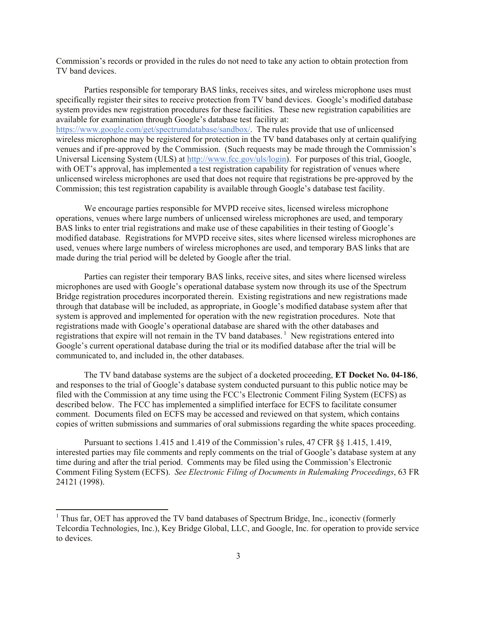Commission's records or provided in the rules do not need to take any action to obtain protection from TV band devices.

Parties responsible for temporary BAS links, receives sites, and wireless microphone uses must specifically register their sites to receive protection from TV band devices. Google's modified database system provides new registration procedures for these facilities. These new registration capabilities are available for examination through Google's database test facility at: https://www.google.com/get/spectrumdatabase/sandbox/. The rules provide that use of unlicensed wireless microphone may be registered for protection in the TV band databases only at certain qualifying venues and if pre-approved by the Commission. (Such requests may be made through the Commission's Universal Licensing System (ULS) at http://www.fcc.gov/uls/login). For purposes of this trial, Google, with OET's approval, has implemented a test registration capability for registration of venues where unlicensed wireless microphones are used that does not require that registrations be pre-approved by the Commission; this test registration capability is available through Google's database test facility.

We encourage parties responsible for MVPD receive sites, licensed wireless microphone operations, venues where large numbers of unlicensed wireless microphones are used, and temporary BAS links to enter trial registrations and make use of these capabilities in their testing of Google's modified database. Registrations for MVPD receive sites, sites where licensed wireless microphones are used, venues where large numbers of wireless microphones are used, and temporary BAS links that are made during the trial period will be deleted by Google after the trial.

Parties can register their temporary BAS links, receive sites, and sites where licensed wireless microphones are used with Google's operational database system now through its use of the Spectrum Bridge registration procedures incorporated therein. Existing registrations and new registrations made through that database will be included, as appropriate, in Google's modified database system after that system is approved and implemented for operation with the new registration procedures. Note that registrations made with Google's operational database are shared with the other databases and registrations that expire will not remain in the TV band databases.<sup>1</sup> New registrations entered into Google's current operational database during the trial or its modified database after the trial will be communicated to, and included in, the other databases.

The TV band database systems are the subject of a docketed proceeding, **ET Docket No. 04-186**, and responses to the trial of Google's database system conducted pursuant to this public notice may be filed with the Commission at any time using the FCC's Electronic Comment Filing System (ECFS) as described below. The FCC has implemented a simplified interface for ECFS to facilitate consumer comment. Documents filed on ECFS may be accessed and reviewed on that system, which contains copies of written submissions and summaries of oral submissions regarding the white spaces proceeding.

Pursuant to sections 1.415 and 1.419 of the Commission's rules, 47 CFR §§ 1.415, 1.419, interested parties may file comments and reply comments on the trial of Google's database system at any time during and after the trial period. Comments may be filed using the Commission's Electronic Comment Filing System (ECFS). *See Electronic Filing of Documents in Rulemaking Proceedings*, 63 FR 24121 (1998).

 $\overline{a}$ 

 $1$  Thus far, OET has approved the TV band databases of Spectrum Bridge, Inc., iconectiv (formerly Telcordia Technologies, Inc.), Key Bridge Global, LLC, and Google, Inc. for operation to provide service to devices.